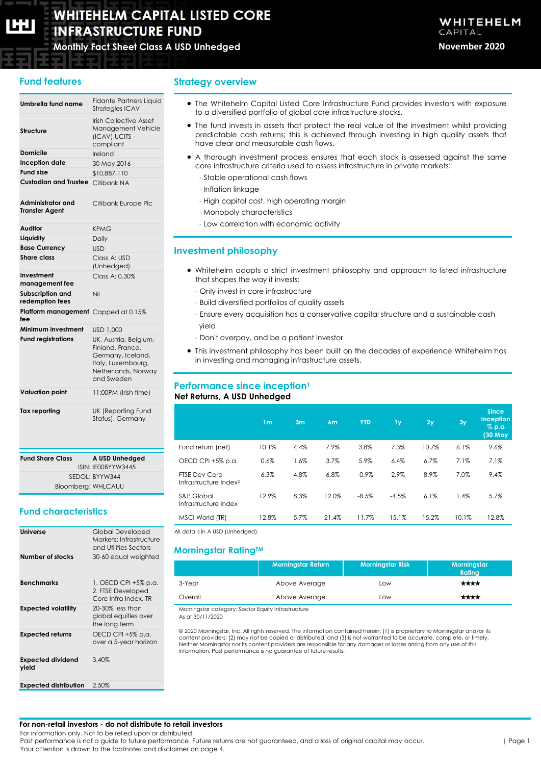# **WHITEHELM CAPITAL LISTED CORE INFRASTRUCTURE FUND**

**Monthly Fact Sheet Class A USD Unhedged November 2020**

# **Fund features**

### **Umbrella fund name** Fidante Partners Liquid Strategies ICAV **Structure** Irish Collective Asset Management Vehicle (ICAV) UCITS compliant **Domicile Ireland Inception date** 30 May 2016 **Fund size** \$10,887,110 **Custodian and Trustee** Citibank NA **Administrator and Transfer Agent** Citibank Europe Plc **Auditor** KPMG **Liquidity** Daily **Base Currency** USD **Share class** Class A: USD (Unhedged) **Investment management fee**  $C$ lass  $A: 0.30%$ **Subscription and redemption fees** Nil **Platform management**  Capped at 0.15% **fee Minimum investment** USD 1,000 **Fund registrations** UK, Austria, Belgium, Finland, France, Germany, Iceland, Italy, Luxembourg, Netherlands, Norway and Sweden **Valuation point** 11:00PM (Irish time) **Tax reporting** UK (Reporting Fund Status), Germany

| <b>Fund Share Class</b> | A USD Unhedged     |
|-------------------------|--------------------|
|                         | ISIN: IE00BYYW3445 |
|                         | SEDOL: BYYW344     |
|                         | Bloomberg: WHLCAUU |

# **Fund characteristics**

| Universe                          | Global Developed<br>Markets: Infrastructure<br>and Utilities Sectors |
|-----------------------------------|----------------------------------------------------------------------|
| Number of stocks                  | 30-60 equal weighted                                                 |
| <b>Benchmarks</b>                 | 1. OECD CPI +5% p.a.<br>2. FTSE Developed<br>Core Infra Index, TR    |
| <b>Expected volatility</b>        | $20-30\%$ less than<br>global equities over<br>the long term         |
| <b>Expected returns</b>           | OECD CPI +5% p.a.<br>over a 5-year horizon                           |
| <b>Expected dividend</b><br>yield | 3.40%                                                                |
| <b>Expected distribution</b>      | 2.50%                                                                |

**Strategy overview**

- The Whitehelm Capital Listed Core Infrastructure Fund provides investors with exposure to a diversified portfolio of global core infrastructure stocks.
- The fund invests in assets that protect the real value of the investment whilst providing predictable cash returns; this is achieved through investing in high quality assets that have clear and measurable cash flows.
- A thorough investment process ensures that each stock is assessed against the same core infrastructure criteria used to assess infrastructure in private markets:
	- Stable operational cash flows
	- Inflation linkage
	- High capital cost, high operating margin
	- Monopoly characteristics
	- Low correlation with economic activity

## **Investment philosophy**

- Whitehelm adopts a strict investment philosophy and approach to listed infrastructure that shapes the way it invests:
	- Only invest in core infrastructure
	- Build diversified portfolios of quality assets
	- Ensure every acquisition has a conservative capital structure and a sustainable cash yield
	- Don't overpay, and be a patient investor
- This investment philosophy has been built on the decades of experience Whitehelm has in investing and managing infrastructure assets.

### **Performance since inception<sup>1</sup> Net Returns, A USD Unhedged**

|                                                           | 1 <sub>m</sub> | 3 <sub>m</sub> | 6 <sub>m</sub> | <b>YTD</b> | 1y      | 2y    | 3y    | <b>Since</b><br><b>Inception</b><br>% p.a.<br>$(30 \overline{$ May |
|-----------------------------------------------------------|----------------|----------------|----------------|------------|---------|-------|-------|--------------------------------------------------------------------|
| Fund return (net)                                         | 10.1%          | 4.4%           | 7.9%           | 3.8%       | 7.3%    | 10.7% | 6.1%  | 9.6%                                                               |
| OECD CPI +5% p.a.                                         | 0.6%           | 1.6%           | 3.7%           | 5.9%       | 6.4%    | 6.7%  | 7.1%  | 7.1%                                                               |
| <b>FTSE Dev Core</b><br>Infrastructure Index <sup>2</sup> | 6.3%           | 4.8%           | 6.8%           | $-0.9%$    | 2.9%    | 8.9%  | 7.0%  | 9.4%                                                               |
| S&P Global<br>Infrastructure Index                        | 12.9%          | 8.3%           | 12.0%          | $-8.5%$    | $-4.5%$ | 6.1%  | 1.4%  | 5.7%                                                               |
| MSCI World (TR)                                           | 12.8%          | 5.7%           | 21.4%          | 11.7%      | 15.1%   | 15.2% | 10.1% | 12.8%                                                              |

All data is in A USD (Unhedged).

# **Morningstar RatingTM**

|         | <b>Morningstar Return</b> | <b>Morningstar Risk</b> | Morningstar<br><b>Ratina</b> |
|---------|---------------------------|-------------------------|------------------------------|
| 3-Year  | Above Average             | Low                     | ****                         |
| Overall | Above Average             | Low                     | ****                         |
|         |                           |                         |                              |

Morningstar category: Sector Equity Infrastructure As at 30/11/2020

© 2020 Morningstar, Inc. All rights reserved. The information contained herein: (1) is proprietary to Morningstar and/or its content providers; (2) may not be copied or distributed; and (3) is not warranted to be accurate, complete, or timely. Neither Morningstar nor its content providers are responsible for any damages or losses arising from any use of this information. Past performance is no guarantee of future results.

#### **For non-retail investors - do not distribute to retail investors**

For information only. Not to be relied upon or distributed.

Past performance is not a guide to future performance. Future returns are not guaranteed, and a loss of original capital may occur. Your attention is drawn to the footnotes and disclaimer on page 4.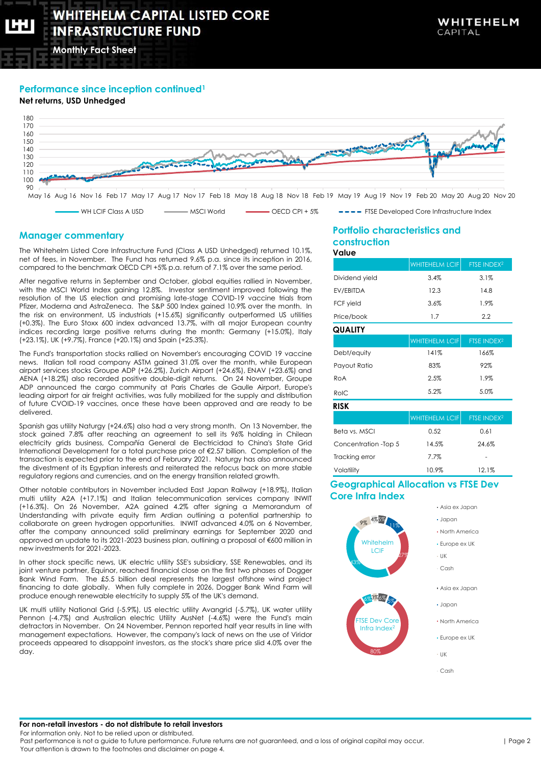**Monthly Fact Sheet**

# **Performance since inception continued<sup>1</sup>**

# **Net returns, USD Unhedged**



WH LCIF Class A USD And MSCI World Matteo OECD CPI + 5% FTSE Developed Core Infrastructure Index

### **Manager commentary**

The Whitehelm Listed Core Infrastructure Fund (Class A USD Unhedged) returned 10.1%, net of fees, in November. The Fund has returned 9.6% p.a. since its inception in 2016, compared to the benchmark OECD CPI +5% p.a. return of 7.1% over the same period.

After negative returns in September and October, global equities rallied in November, with the MSCI World Index gaining 12.8%. Investor sentiment improved following the resolution of the US election and promising late-stage COVID-19 vaccine trials from Pfizer, Moderna and AstraZeneca. The S&P 500 Index gained 10.9% over the month. In the risk on environment, US industrials (+15.6%) significantly outperformed US utilities (+0.3%). The Euro Stoxx 600 index advanced 13.7%, with all major European country indices recording large positive returns during the month: Germany (+15.0%), Italy (+23.1%), UK (+9.7%), France (+20.1%) and Spain (+25.3%).

The Fund's transportation stocks rallied on November's encouraging COVID 19 vaccine news. Italian toll road company ASTM gained 31.0% over the month, while European airport services stocks Groupe ADP (+26.2%), Zurich Airport (+24.6%), ENAV (+23.6%) and AENA (+18.2%) also recorded positive double-digit returns. On 24 November, Groupe ADP announced the cargo community at Paris Charles de Gaulle Airport, Europe's leading airport for air freight activities, was fully mobilized for the supply and distribution of future CVOID-19 vaccines, once these have been approved and are ready to be delivered.

Spanish gas utility Naturgy (+24.6%) also had a very strong month. On 13 November, the stock gained 7.8% after reaching an agreement to sell its 96% holding in Chilean electricity grids business, Compañía General de Electricidad to China's State Grid International Development for a total purchase price of €2.57 billion. Completion of the transaction is expected prior to the end of February 2021. Naturgy has also announced the divestment of its Egyptian interests and reiterated the refocus back on more stable regulatory regions and currencies, and on the energy transition related growth.

Other notable contributors in November included East Japan Railway (+18.9%), Italian multi utility A2A (+17.1%) and Italian telecommunication services company INWIT (+16.3%). On 26 November, A2A gained 4.2% after signing a Memorandum of Understanding with private equity firm Ardian outlining a potential partnership to collaborate on green hydrogen opportunities. INWIT advanced 4.0% on 6 November, after the company announced solid preliminary earnings for September 2020 and approved an update to its 2021-2023 business plan, outlining a proposal of €600 million in new investments for 2021-2023.

In other stock specific news, UK electric utility SSE's subsidiary, SSE Renewables, and its joint venture partner, Equinor, reached financial close on the first two phases of Dogger Bank Wind Farm. The £5.5 billion deal represents the largest offshore wind project financing to date globally. When fully complete in 2026, Dogger Bank Wind Farm will produce enough renewable electricity to supply 5% of the UK's demand.

UK multi utility National Grid (-5.9%), US electric utility Avangrid (-5.7%), UK water utility Pennon (-4.7%) and Australian electric Utility AusNet (-4.6%) were the Fund's main detractors in November. On 24 November, Pennon reported half year results in line with management expectations. However, the company's lack of news on the use of Viridor proceeds appeared to disappoint investors, as the stock's share price slid 4.0% over the day.

#### **Portfolio characteristics and construction Value**

| uiuc                 |                       |                         |  |
|----------------------|-----------------------|-------------------------|--|
|                      | <b>WHITEHELM LCIF</b> | FTSE INDEX <sup>2</sup> |  |
| Dividend yield       | 3.4%                  | 3.1%                    |  |
| EV/EBITDA            | 12.3                  | 14.8                    |  |
| FCF yield            | 3.6%                  | 1.9%                    |  |
| Price/book           | 1.7                   | 2.2                     |  |
| QUALITY              |                       |                         |  |
|                      | <b>WHITEHELM LCIF</b> | FTSE INDEX <sup>2</sup> |  |
| Debt/equity          | 141%                  | 166%                    |  |
| Payout Ratio         | 83%                   | 92%                     |  |
| RoA                  | 2.5%                  | 1.9%                    |  |
| RoIC                 | 5.2%                  | 5.0%                    |  |
| RISK                 |                       |                         |  |
|                      | <b>WHITEHELM LCIF</b> | FTSE INDEX <sup>2</sup> |  |
| Beta vs. MSCI        | 0.52                  | 0.61                    |  |
| Concentration -Top 5 | 14.5%                 | 24.6%                   |  |
| Trackina error       | 7.7%                  |                         |  |

## **Geographical Allocation vs FTSE Dev Core Infra Index**

Volatility 10.9% 12.1%



For information only. Not to be relied upon or distributed.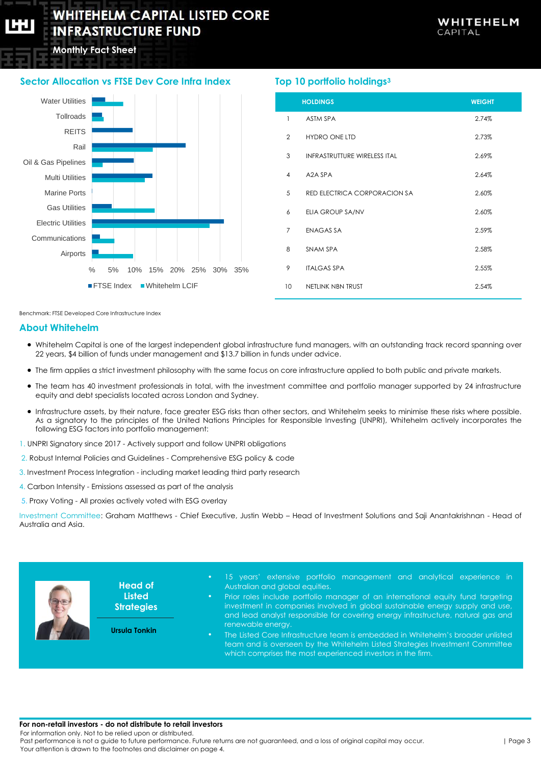**Monthly Fact Sheet**

# **Sector Allocation vs FTSE Dev Core Infra Index**



# **Top 10 portfolio holdings<sup>3</sup>**

|                | <b>HOLDINGS</b>                     | <b>WEIGHT</b> |
|----------------|-------------------------------------|---------------|
| $\mathbf{1}$   | <b>ASTM SPA</b>                     | 2.74%         |
| $\overline{2}$ | <b>HYDRO ONE LTD</b>                | 2.73%         |
| 3              | <b>INFRASTRUTTURE WIRELESS ITAL</b> | 2.69%         |
| 4              | A2A SPA                             | 2.64%         |
| 5              | RED ELECTRICA CORPORACION SA        | 2.60%         |
| 6              | ELIA GROUP SA/NV                    | 2.60%         |
| $\overline{7}$ | <b>ENAGAS SA</b>                    | 2.59%         |
| 8              | SNAM SPA                            | 2.58%         |
| 9              | <b>ITALGAS SPA</b>                  | 2.55%         |
| 10             | NETLINK NBN TRUST                   | 2.54%         |

Benchmark: FTSE Developed Core Infrastructure Index

### **About Whitehelm**

- Whitehelm Capital is one of the largest independent global infrastructure fund managers, with an outstanding track record spanning over 22 years, \$4 billion of funds under management and \$13.7 billion in funds under advice.
- The firm applies a strict investment philosophy with the same focus on core infrastructure applied to both public and private markets.
- The team has 40 investment professionals in total, with the investment committee and portfolio manager supported by 24 infrastructure equity and debt specialists located across London and Sydney.
- Infrastructure assets, by their nature, face greater ESG risks than other sectors, and Whitehelm seeks to minimise these risks where possible. As a signatory to the principles of the United Nations Principles for Responsible Investing (UNPRI), Whitehelm actively incorporates the following ESG factors into portfolio management:
- 1. UNPRI Signatory since 2017 Actively support and follow UNPRI obligations
- 2. Robust Internal Policies and Guidelines Comprehensive ESG policy & code
- 3. Investment Process Integration including market leading third party research
- 4. Carbon Intensity Emissions assessed as part of the analysis
- 5. Proxy Voting All proxies actively voted with ESG overlay

Investment Committee: Graham Matthews - Chief Executive, Justin Webb – Head of Investment Solutions and Saji Anantakrishnan - Head of Australia and Asia.



#### **For non-retail investors - do not distribute to retail investors**

For information only. Not to be relied upon or distributed.

Past performance is not a guide to future performance. Future returns are not guaranteed, and a loss of original capital may occur. Your attention is drawn to the footnotes and disclaimer on page 4.